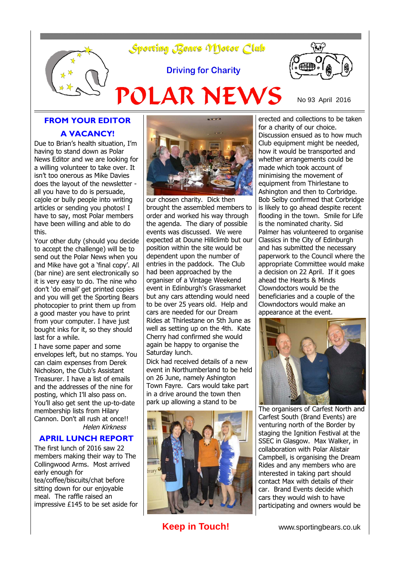

## **FROM YOUR EDITOR A VACANCY!**

Due to Brian's health situation, I'm having to stand down as Polar News Editor and we are looking for a willing volunteer to take over. It isn't too onerous as Mike Davies does the layout of the newsletter all you have to do is persuade, cajole or bully people into writing articles or sending you photos! I have to say, most Polar members have been willing and able to do this.

Your other duty (should you decide to accept the challenge) will be to send out the Polar News when you and Mike have got a 'final copy'. All (bar nine) are sent electronically so it is very easy to do. The nine who don't 'do email' get printed copies and you will get the Sporting Bears photocopier to print them up from a good master you have to print from your computer. I have just bought inks for it, so they should last for a while.

I have some paper and some envelopes left, but no stamps. You can claim expenses from Derek Nicholson, the Club's Assistant Treasurer. I have a list of emails and the addresses of the nine for posting, which I'll also pass on. You'll also get sent the up-to-date membership lists from Hilary Cannon. Don't all rush at once!! Helen Kirkness

### **APRIL LUNCH REPORT**

The first lunch of 2016 saw 22 members making their way to The Collingwood Arms. Most arrived early enough for tea/coffee/biscuits/chat before sitting down for our enjoyable meal. The raffle raised an impressive £145 to be set aside for



our chosen charity. Dick then brought the assembled members to order and worked his way through the agenda. The diary of possible events was discussed. We were expected at Doune Hillclimb but our position within the site would be dependent upon the number of entries in the paddock. The Club had been approached by the organiser of a Vintage Weekend event in Edinburgh's Grassmarket but any cars attending would need to be over 25 years old. Help and cars are needed for our Dream Rides at Thirlestane on 5th June as well as setting up on the 4th. Kate Cherry had confirmed she would again be happy to organise the Saturday lunch.

Dick had received details of a new event in Northumberland to be held on 26 June, namely Ashington Town Fayre. Cars would take part in a drive around the town then park up allowing a stand to be



erected and collections to be taken for a charity of our choice. Discussion ensued as to how much Club equipment might be needed, how it would be transported and whether arrangements could be made which took account of minimising the movement of equipment from Thirlestane to Ashington and then to Corbridge. Bob Selby confirmed that Corbridge is likely to go ahead despite recent flooding in the town. Smile for Life is the nominated charity. Sid Palmer has volunteered to organise Classics in the City of Edinburgh and has submitted the necessary paperwork to the Council where the appropriate Committee would make a decision on 22 April. If it goes ahead the Hearts & Minds Clowndoctors would be the beneficiaries and a couple of the Clowndoctors would make an appearance at the event.



The organisers of Carfest North and Carfest South (Brand Events) are venturing north of the Border by staging the Ignition Festival at the SSEC in Glasgow. Max Walker, in collaboration with Polar Alistair Campbell, is organising the Dream Rides and any members who are interested in taking part should contact Max with details of their car. Brand Events decide which cars they would wish to have participating and owners would be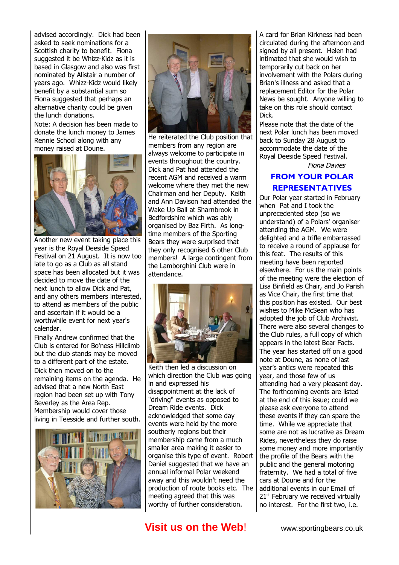advised accordingly. Dick had been asked to seek nominations for a Scottish charity to benefit. Fiona suggested it be Whizz-Kidz as it is based in Glasgow and also was first nominated by Alistair a number of years ago. Whizz-Kidz would likely benefit by a substantial sum so Fiona suggested that perhaps an alternative charity could be given the lunch donations.

Note: A decision has been made to donate the lunch money to James Rennie School along with any money raised at Doune.



Another new event taking place this year is the Royal Deeside Speed Festival on 21 August. It is now too late to go as a Club as all stand space has been allocated but it was decided to move the date of the next lunch to allow Dick and Pat, and any others members interested, to attend as members of the public and ascertain if it would be a worthwhile event for next year's calendar.

Finally Andrew confirmed that the Club is entered for Bo'ness Hillclimb but the club stands may be moved to a different part of the estate. Dick then moved on to the remaining items on the agenda. He advised that a new North East region had been set up with Tony Beverley as the Area Rep. Membership would cover those living in Teesside and further south.





He reiterated the Club position that members from any region are always welcome to participate in events throughout the country. Dick and Pat had attended the recent AGM and received a warm welcome where they met the new Chairman and her Deputy. Keith and Ann Davison had attended the Wake Up Ball at Sharnbrook in Bedfordshire which was ably organised by Baz Firth. As longtime members of the Sporting Bears they were surprised that they only recognised 6 other Club members! A large contingent from the Lamborghini Club were in attendance.



Keith then led a discussion on which direction the Club was going in and expressed his disappointment at the lack of "driving" events as opposed to Dream Ride events. Dick acknowledged that some day events were held by the more southerly regions but their membership came from a much smaller area making it easier to organise this type of event. Robert Daniel suggested that we have an annual informal Polar weekend away and this wouldn't need the production of route books etc. The meeting agreed that this was worthy of further consideration.

A card for Brian Kirkness had been circulated during the afternoon and signed by all present. Helen had intimated that she would wish to temporarily cut back on her involvement with the Polars during Brian's illness and asked that a replacement Editor for the Polar News be sought. Anyone willing to take on this role should contact Dick.

Please note that the date of the next Polar lunch has been moved back to Sunday 28 August to accommodate the date of the Royal Deeside Speed Festival.

Fiona Davies

### **FROM YOUR POLAR REPRESENTATIVES**

Our Polar year started in February when Pat and I took the unprecedented step (so we understand) of a Polars' organiser attending the AGM. We were delighted and a trifle embarrassed to receive a round of applause for this feat. The results of this meeting have been reported elsewhere. For us the main points of the meeting were the election of Lisa Binfield as Chair, and Jo Parish as Vice Chair, the first time that this position has existed. Our best wishes to Mike McSean who has adopted the job of Club Archivist. There were also several changes to the Club rules, a full copy of which appears in the latest Bear Facts. The year has started off on a good note at Doune, as none of last year's antics were repeated this year, and those few of us attending had a very pleasant day. The forthcoming events are listed at the end of this issue; could we please ask everyone to attend these events if they can spare the time. While we appreciate that some are not as lucrative as Dream Rides, nevertheless they do raise some money and more importantly the profile of the Bears with the public and the general motoring fraternity. We had a total of five cars at Doune and for the additional events in our Email of  $21<sup>st</sup>$  February we received virtually no interest. For the first two, i.e.

# **Visit us on the Web!** www.sportingbears.co.uk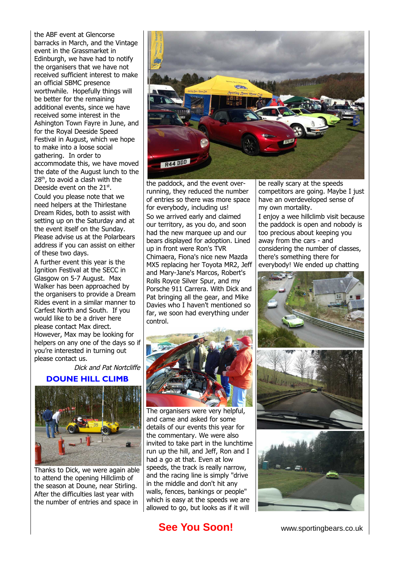the ABF event at Glencorse barracks in March, and the Vintage event in the Grassmarket in Edinburgh, we have had to notify the organisers that we have not received sufficient interest to make an official SBMC presence worthwhile. Hopefully things will be better for the remaining additional events, since we have received some interest in the Ashington Town Fayre in June, and for the Royal Deeside Speed Festival in August, which we hope to make into a loose social gathering. In order to accommodate this, we have moved the date of the August lunch to the 28<sup>th</sup>, to avoid a clash with the Deeside event on the  $21<sup>st</sup>$ . Could you please note that we need helpers at the Thirlestane Dream Rides, both to assist with setting up on the Saturday and at the event itself on the Sunday. Please advise us at the Polarbears address if you can assist on either

of these two days. A further event this year is the Ignition Festival at the SECC in Glasgow on 5-7 August. Max Walker has been approached by the organisers to provide a Dream Rides event in a similar manner to Carfest North and South. If you would like to be a driver here please contact Max direct. However, Max may be looking for helpers on any one of the days so if you're interested in turning out please contact us.

Dick and Pat Nortcliffe

### **DOUNE HILL CLIMB**



Thanks to Dick, we were again able to attend the opening Hillclimb of the season at Doune, near Stirling. After the difficulties last year with the number of entries and space in



the paddock, and the event overrunning, they reduced the number of entries so there was more space for everybody, including us! So we arrived early and claimed our territory, as you do, and soon had the new marquee up and our bears displayed for adoption. Lined up in front were Ron's TVR Chimaera, Fiona's nice new Mazda MX5 replacing her Toyota MR2, Jeff and Mary-Jane's Marcos, Robert's Rolls Royce Silver Spur, and my Porsche 911 Carrera. With Dick and Pat bringing all the gear, and Mike Davies who I haven't mentioned so far, we soon had everything under control.



The organisers were very helpful, and came and asked for some details of our events this year for the commentary. We were also invited to take part in the lunchtime run up the hill, and Jeff, Ron and I had a go at that. Even at low speeds, the track is really narrow, and the racing line is simply "drive in the middle and don't hit any walls, fences, bankings or people" which is easy at the speeds we are allowed to go, but looks as if it will

be really scary at the speeds competitors are going. Maybe I just have an overdeveloped sense of my own mortality.

I enjoy a wee hillclimb visit because the paddock is open and nobody is too precious about keeping you away from the cars - and considering the number of classes, there's something there for everybody! We ended up chatting





**See You Soon!** www.sportingbears.co.uk